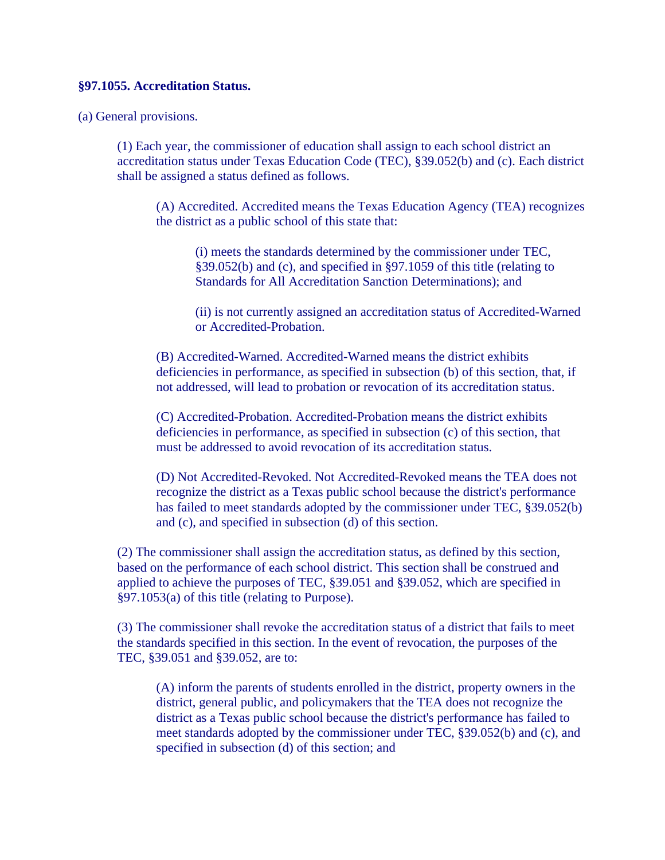## **§97.1055. Accreditation Status.**

(a) General provisions.

(1) Each year, the commissioner of education shall assign to each school district an accreditation status under Texas Education Code (TEC), §39.052(b) and (c). Each district shall be assigned a status defined as follows.

(A) Accredited. Accredited means the Texas Education Agency (TEA) recognizes the district as a public school of this state that:

(i) meets the standards determined by the commissioner under TEC, §39.052(b) and (c), and specified in §97.1059 of this title (relating to Standards for All Accreditation Sanction Determinations); and

(ii) is not currently assigned an accreditation status of Accredited-Warned or Accredited-Probation.

(B) Accredited-Warned. Accredited-Warned means the district exhibits deficiencies in performance, as specified in subsection (b) of this section, that, if not addressed, will lead to probation or revocation of its accreditation status.

(C) Accredited-Probation. Accredited-Probation means the district exhibits deficiencies in performance, as specified in subsection (c) of this section, that must be addressed to avoid revocation of its accreditation status.

(D) Not Accredited-Revoked. Not Accredited-Revoked means the TEA does not recognize the district as a Texas public school because the district's performance has failed to meet standards adopted by the commissioner under TEC, §39.052(b) and (c), and specified in subsection (d) of this section.

(2) The commissioner shall assign the accreditation status, as defined by this section, based on the performance of each school district. This section shall be construed and applied to achieve the purposes of TEC, §39.051 and §39.052, which are specified in §97.1053(a) of this title (relating to Purpose).

(3) The commissioner shall revoke the accreditation status of a district that fails to meet the standards specified in this section. In the event of revocation, the purposes of the TEC, §39.051 and §39.052, are to:

(A) inform the parents of students enrolled in the district, property owners in the district, general public, and policymakers that the TEA does not recognize the district as a Texas public school because the district's performance has failed to meet standards adopted by the commissioner under TEC, §39.052(b) and (c), and specified in subsection (d) of this section; and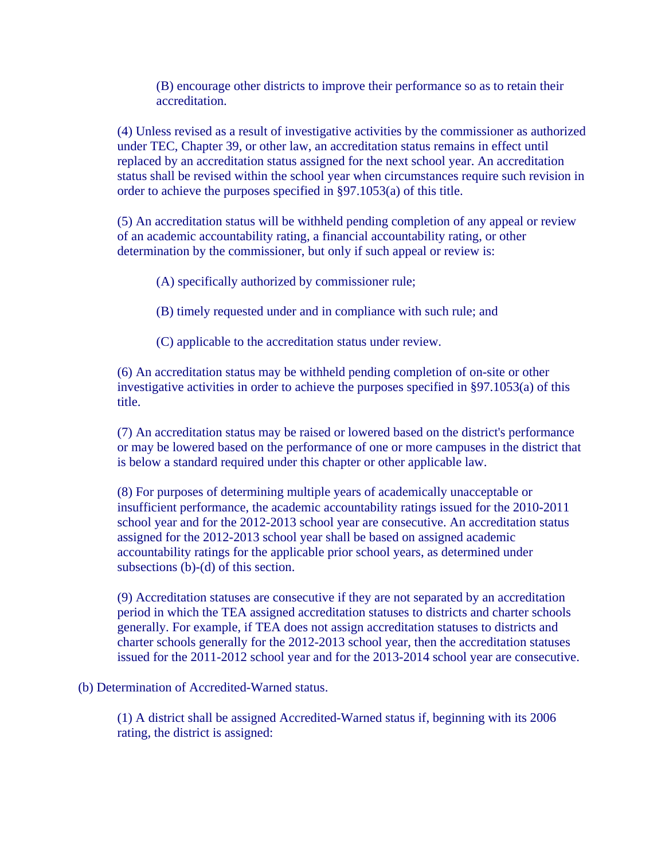(B) encourage other districts to improve their performance so as to retain their accreditation.

(4) Unless revised as a result of investigative activities by the commissioner as authorized under TEC, Chapter 39, or other law, an accreditation status remains in effect until replaced by an accreditation status assigned for the next school year. An accreditation status shall be revised within the school year when circumstances require such revision in order to achieve the purposes specified in §97.1053(a) of this title.

(5) An accreditation status will be withheld pending completion of any appeal or review of an academic accountability rating, a financial accountability rating, or other determination by the commissioner, but only if such appeal or review is:

(A) specifically authorized by commissioner rule;

(B) timely requested under and in compliance with such rule; and

(C) applicable to the accreditation status under review.

(6) An accreditation status may be withheld pending completion of on-site or other investigative activities in order to achieve the purposes specified in §97.1053(a) of this title.

(7) An accreditation status may be raised or lowered based on the district's performance or may be lowered based on the performance of one or more campuses in the district that is below a standard required under this chapter or other applicable law.

(8) For purposes of determining multiple years of academically unacceptable or insufficient performance, the academic accountability ratings issued for the 2010-2011 school year and for the 2012-2013 school year are consecutive. An accreditation status assigned for the 2012-2013 school year shall be based on assigned academic accountability ratings for the applicable prior school years, as determined under subsections (b)-(d) of this section.

(9) Accreditation statuses are consecutive if they are not separated by an accreditation period in which the TEA assigned accreditation statuses to districts and charter schools generally. For example, if TEA does not assign accreditation statuses to districts and charter schools generally for the 2012-2013 school year, then the accreditation statuses issued for the 2011-2012 school year and for the 2013-2014 school year are consecutive.

(b) Determination of Accredited-Warned status.

(1) A district shall be assigned Accredited-Warned status if, beginning with its 2006 rating, the district is assigned: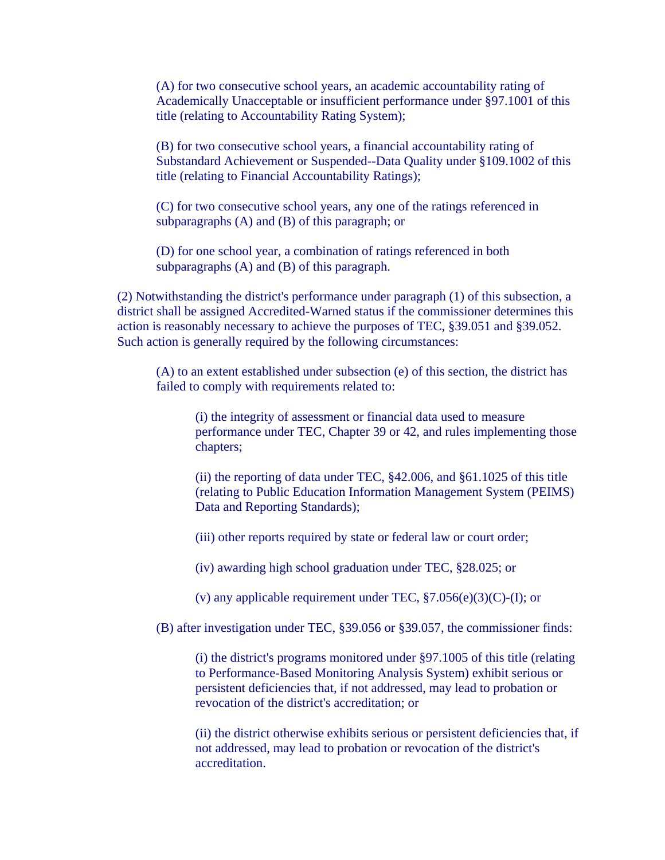(A) for two consecutive school years, an academic accountability rating of Academically Unacceptable or insufficient performance under §97.1001 of this title (relating to Accountability Rating System);

(B) for two consecutive school years, a financial accountability rating of Substandard Achievement or Suspended--Data Quality under §109.1002 of this title (relating to Financial Accountability Ratings);

(C) for two consecutive school years, any one of the ratings referenced in subparagraphs (A) and (B) of this paragraph; or

(D) for one school year, a combination of ratings referenced in both subparagraphs (A) and (B) of this paragraph.

(2) Notwithstanding the district's performance under paragraph (1) of this subsection, a district shall be assigned Accredited-Warned status if the commissioner determines this action is reasonably necessary to achieve the purposes of TEC, §39.051 and §39.052. Such action is generally required by the following circumstances:

(A) to an extent established under subsection (e) of this section, the district has failed to comply with requirements related to:

(i) the integrity of assessment or financial data used to measure performance under TEC, Chapter 39 or 42, and rules implementing those chapters;

(ii) the reporting of data under TEC, §42.006, and §61.1025 of this title (relating to Public Education Information Management System (PEIMS) Data and Reporting Standards);

(iii) other reports required by state or federal law or court order;

(iv) awarding high school graduation under TEC, §28.025; or

(v) any applicable requirement under TEC,  $\S7.056(e)(3)(C)$ -(I); or

(B) after investigation under TEC, §39.056 or §39.057, the commissioner finds:

(i) the district's programs monitored under §97.1005 of this title (relating to Performance-Based Monitoring Analysis System) exhibit serious or persistent deficiencies that, if not addressed, may lead to probation or revocation of the district's accreditation; or

(ii) the district otherwise exhibits serious or persistent deficiencies that, if not addressed, may lead to probation or revocation of the district's accreditation.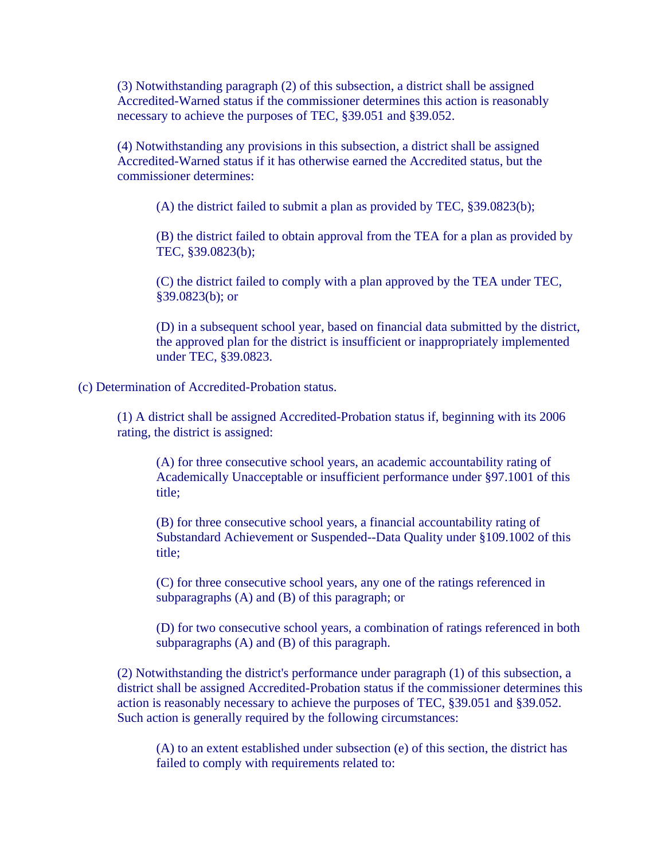(3) Notwithstanding paragraph (2) of this subsection, a district shall be assigned Accredited-Warned status if the commissioner determines this action is reasonably necessary to achieve the purposes of TEC, §39.051 and §39.052.

(4) Notwithstanding any provisions in this subsection, a district shall be assigned Accredited-Warned status if it has otherwise earned the Accredited status, but the commissioner determines:

(A) the district failed to submit a plan as provided by TEC, §39.0823(b);

(B) the district failed to obtain approval from the TEA for a plan as provided by TEC, §39.0823(b);

(C) the district failed to comply with a plan approved by the TEA under TEC, §39.0823(b); or

(D) in a subsequent school year, based on financial data submitted by the district, the approved plan for the district is insufficient or inappropriately implemented under TEC, §39.0823.

(c) Determination of Accredited-Probation status.

(1) A district shall be assigned Accredited-Probation status if, beginning with its 2006 rating, the district is assigned:

(A) for three consecutive school years, an academic accountability rating of Academically Unacceptable or insufficient performance under §97.1001 of this title;

(B) for three consecutive school years, a financial accountability rating of Substandard Achievement or Suspended--Data Quality under §109.1002 of this title;

(C) for three consecutive school years, any one of the ratings referenced in subparagraphs (A) and (B) of this paragraph; or

(D) for two consecutive school years, a combination of ratings referenced in both subparagraphs (A) and (B) of this paragraph.

(2) Notwithstanding the district's performance under paragraph (1) of this subsection, a district shall be assigned Accredited-Probation status if the commissioner determines this action is reasonably necessary to achieve the purposes of TEC, §39.051 and §39.052. Such action is generally required by the following circumstances:

(A) to an extent established under subsection (e) of this section, the district has failed to comply with requirements related to: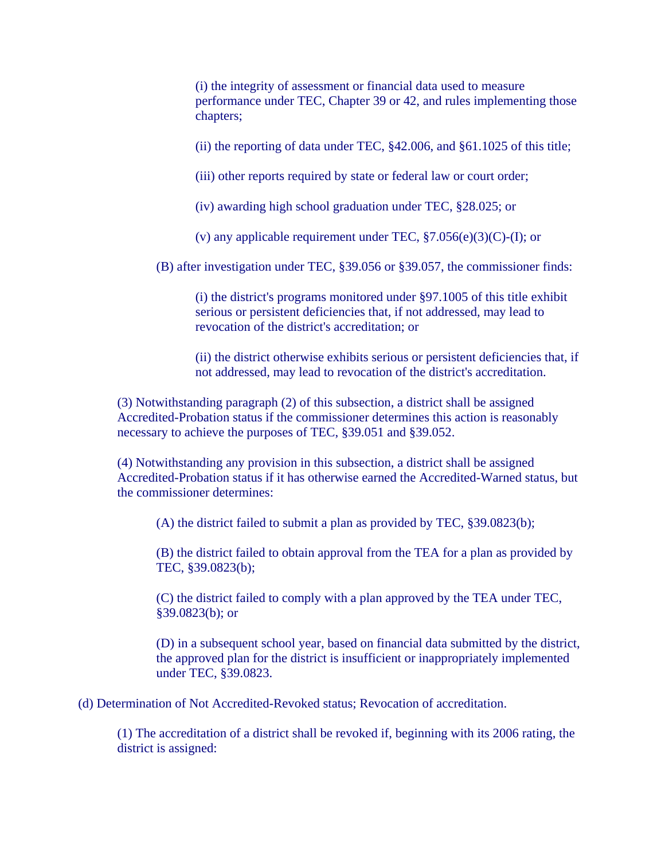(i) the integrity of assessment or financial data used to measure performance under TEC, Chapter 39 or 42, and rules implementing those chapters;

(ii) the reporting of data under TEC, §42.006, and §61.1025 of this title;

(iii) other reports required by state or federal law or court order;

(iv) awarding high school graduation under TEC, §28.025; or

(v) any applicable requirement under TEC,  $\S7.056(e)(3)(C)$ -(I); or

(B) after investigation under TEC, §39.056 or §39.057, the commissioner finds:

(i) the district's programs monitored under §97.1005 of this title exhibit serious or persistent deficiencies that, if not addressed, may lead to revocation of the district's accreditation; or

(ii) the district otherwise exhibits serious or persistent deficiencies that, if not addressed, may lead to revocation of the district's accreditation.

(3) Notwithstanding paragraph (2) of this subsection, a district shall be assigned Accredited-Probation status if the commissioner determines this action is reasonably necessary to achieve the purposes of TEC, §39.051 and §39.052.

(4) Notwithstanding any provision in this subsection, a district shall be assigned Accredited-Probation status if it has otherwise earned the Accredited-Warned status, but the commissioner determines:

(A) the district failed to submit a plan as provided by TEC, §39.0823(b);

(B) the district failed to obtain approval from the TEA for a plan as provided by TEC, §39.0823(b);

(C) the district failed to comply with a plan approved by the TEA under TEC, §39.0823(b); or

(D) in a subsequent school year, based on financial data submitted by the district, the approved plan for the district is insufficient or inappropriately implemented under TEC, §39.0823.

(d) Determination of Not Accredited-Revoked status; Revocation of accreditation.

(1) The accreditation of a district shall be revoked if, beginning with its 2006 rating, the district is assigned: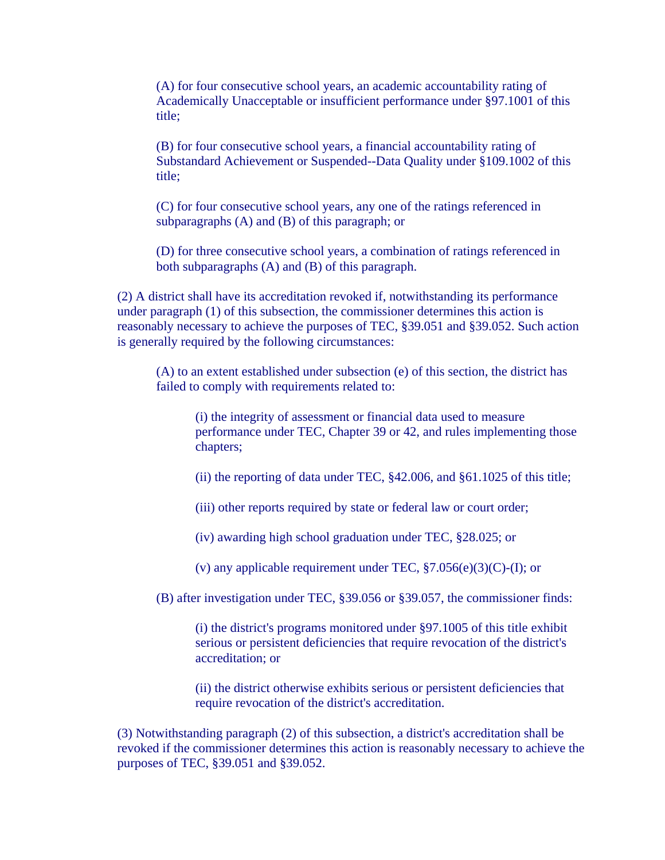(A) for four consecutive school years, an academic accountability rating of Academically Unacceptable or insufficient performance under §97.1001 of this title;

(B) for four consecutive school years, a financial accountability rating of Substandard Achievement or Suspended--Data Quality under §109.1002 of this title;

(C) for four consecutive school years, any one of the ratings referenced in subparagraphs (A) and (B) of this paragraph; or

(D) for three consecutive school years, a combination of ratings referenced in both subparagraphs (A) and (B) of this paragraph.

(2) A district shall have its accreditation revoked if, notwithstanding its performance under paragraph (1) of this subsection, the commissioner determines this action is reasonably necessary to achieve the purposes of TEC, §39.051 and §39.052. Such action is generally required by the following circumstances:

(A) to an extent established under subsection (e) of this section, the district has failed to comply with requirements related to:

(i) the integrity of assessment or financial data used to measure performance under TEC, Chapter 39 or 42, and rules implementing those chapters;

(ii) the reporting of data under TEC, §42.006, and §61.1025 of this title;

(iii) other reports required by state or federal law or court order;

(iv) awarding high school graduation under TEC, §28.025; or

(v) any applicable requirement under TEC,  $\S7.056(e)(3)(C)$ -(I); or

(B) after investigation under TEC, §39.056 or §39.057, the commissioner finds:

(i) the district's programs monitored under §97.1005 of this title exhibit serious or persistent deficiencies that require revocation of the district's accreditation; or

(ii) the district otherwise exhibits serious or persistent deficiencies that require revocation of the district's accreditation.

(3) Notwithstanding paragraph (2) of this subsection, a district's accreditation shall be revoked if the commissioner determines this action is reasonably necessary to achieve the purposes of TEC, §39.051 and §39.052.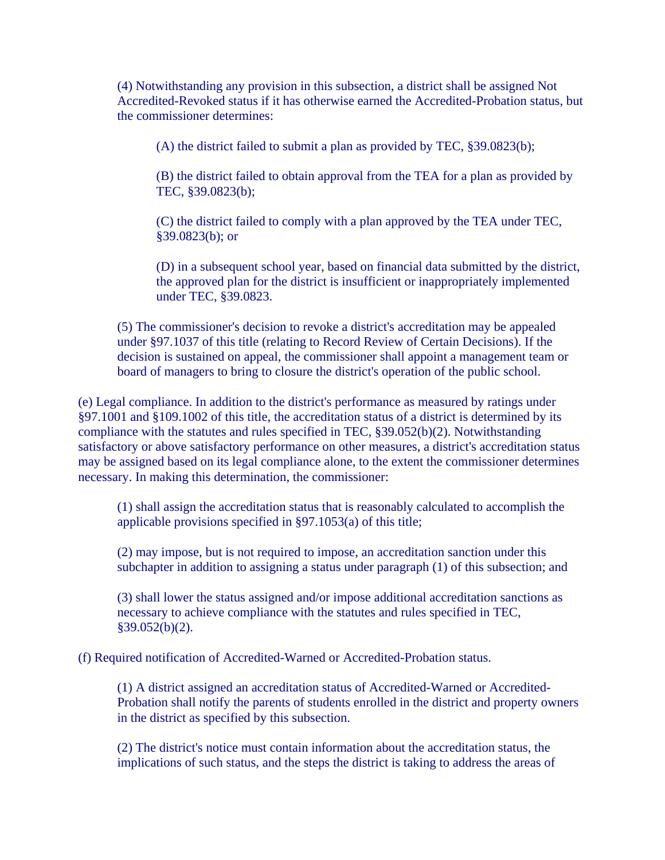(4) Notwithstanding any provision in this subsection, a district shall be assigned Not Accredited-Revoked status if it has otherwise earned the Accredited-Probation status, but the commissioner determines:

(A) the district failed to submit a plan as provided by TEC, §39.0823(b);

(B) the district failed to obtain approval from the TEA for a plan as provided by TEC, §39.0823(b);

(C) the district failed to comply with a plan approved by the TEA under TEC, §39.0823(b); or

(D) in a subsequent school year, based on financial data submitted by the district, the approved plan for the district is insufficient or inappropriately implemented under TEC, §39.0823.

(5) The commissioner's decision to revoke a district's accreditation may be appealed under §97.1037 of this title (relating to Record Review of Certain Decisions). If the decision is sustained on appeal, the commissioner shall appoint a management team or board of managers to bring to closure the district's operation of the public school.

(e) Legal compliance. In addition to the district's performance as measured by ratings under §97.1001 and §109.1002 of this title, the accreditation status of a district is determined by its compliance with the statutes and rules specified in TEC, §39.052(b)(2). Notwithstanding satisfactory or above satisfactory performance on other measures, a district's accreditation status may be assigned based on its legal compliance alone, to the extent the commissioner determines necessary. In making this determination, the commissioner:

(1) shall assign the accreditation status that is reasonably calculated to accomplish the applicable provisions specified in §97.1053(a) of this title;

(2) may impose, but is not required to impose, an accreditation sanction under this subchapter in addition to assigning a status under paragraph (1) of this subsection; and

(3) shall lower the status assigned and/or impose additional accreditation sanctions as necessary to achieve compliance with the statutes and rules specified in TEC,  $§39.052(b)(2).$ 

(f) Required notification of Accredited-Warned or Accredited-Probation status.

(1) A district assigned an accreditation status of Accredited-Warned or Accredited-Probation shall notify the parents of students enrolled in the district and property owners in the district as specified by this subsection.

(2) The district's notice must contain information about the accreditation status, the implications of such status, and the steps the district is taking to address the areas of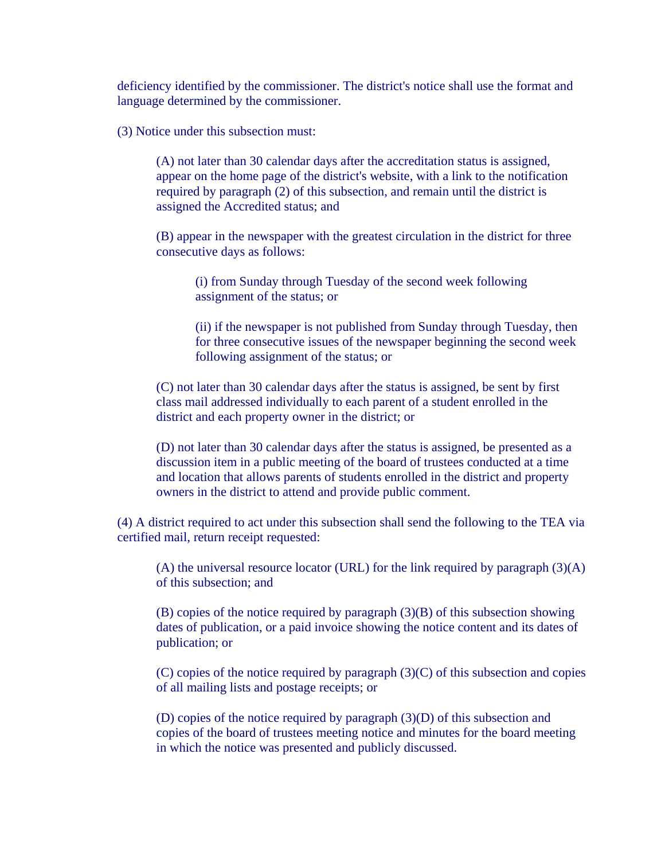deficiency identified by the commissioner. The district's notice shall use the format and language determined by the commissioner.

(3) Notice under this subsection must:

(A) not later than 30 calendar days after the accreditation status is assigned, appear on the home page of the district's website, with a link to the notification required by paragraph (2) of this subsection, and remain until the district is assigned the Accredited status; and

(B) appear in the newspaper with the greatest circulation in the district for three consecutive days as follows:

(i) from Sunday through Tuesday of the second week following assignment of the status; or

(ii) if the newspaper is not published from Sunday through Tuesday, then for three consecutive issues of the newspaper beginning the second week following assignment of the status; or

(C) not later than 30 calendar days after the status is assigned, be sent by first class mail addressed individually to each parent of a student enrolled in the district and each property owner in the district; or

(D) not later than 30 calendar days after the status is assigned, be presented as a discussion item in a public meeting of the board of trustees conducted at a time and location that allows parents of students enrolled in the district and property owners in the district to attend and provide public comment.

(4) A district required to act under this subsection shall send the following to the TEA via certified mail, return receipt requested:

(A) the universal resource locator (URL) for the link required by paragraph  $(3)(A)$ of this subsection; and

(B) copies of the notice required by paragraph (3)(B) of this subsection showing dates of publication, or a paid invoice showing the notice content and its dates of publication; or

(C) copies of the notice required by paragraph (3)(C) of this subsection and copies of all mailing lists and postage receipts; or

(D) copies of the notice required by paragraph (3)(D) of this subsection and copies of the board of trustees meeting notice and minutes for the board meeting in which the notice was presented and publicly discussed.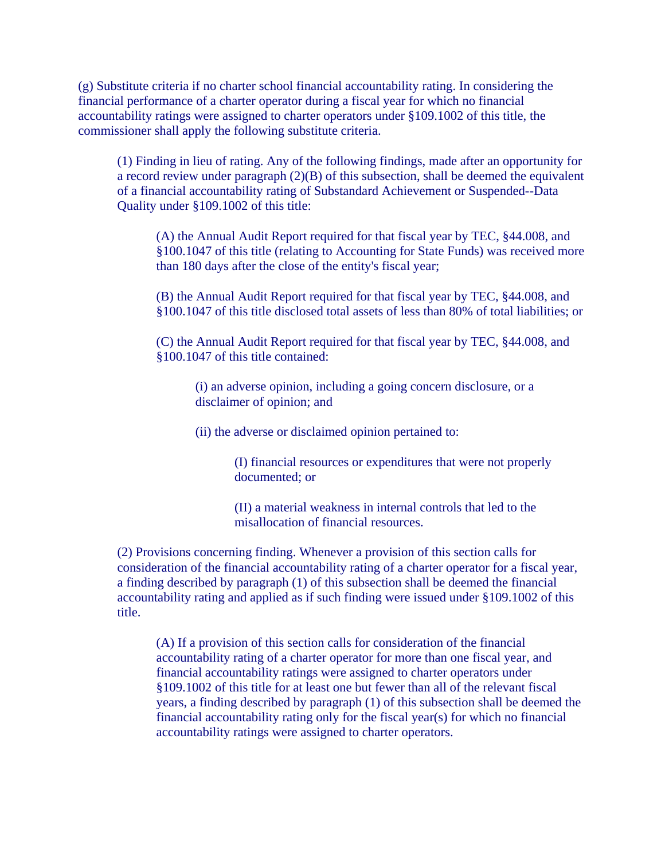(g) Substitute criteria if no charter school financial accountability rating. In considering the financial performance of a charter operator during a fiscal year for which no financial accountability ratings were assigned to charter operators under §109.1002 of this title, the commissioner shall apply the following substitute criteria.

(1) Finding in lieu of rating. Any of the following findings, made after an opportunity for a record review under paragraph (2)(B) of this subsection, shall be deemed the equivalent of a financial accountability rating of Substandard Achievement or Suspended--Data Quality under §109.1002 of this title:

(A) the Annual Audit Report required for that fiscal year by TEC, §44.008, and §100.1047 of this title (relating to Accounting for State Funds) was received more than 180 days after the close of the entity's fiscal year;

(B) the Annual Audit Report required for that fiscal year by TEC, §44.008, and §100.1047 of this title disclosed total assets of less than 80% of total liabilities; or

(C) the Annual Audit Report required for that fiscal year by TEC, §44.008, and §100.1047 of this title contained:

(i) an adverse opinion, including a going concern disclosure, or a disclaimer of opinion; and

(ii) the adverse or disclaimed opinion pertained to:

(I) financial resources or expenditures that were not properly documented; or

(II) a material weakness in internal controls that led to the misallocation of financial resources.

(2) Provisions concerning finding. Whenever a provision of this section calls for consideration of the financial accountability rating of a charter operator for a fiscal year, a finding described by paragraph (1) of this subsection shall be deemed the financial accountability rating and applied as if such finding were issued under §109.1002 of this title.

(A) If a provision of this section calls for consideration of the financial accountability rating of a charter operator for more than one fiscal year, and financial accountability ratings were assigned to charter operators under §109.1002 of this title for at least one but fewer than all of the relevant fiscal years, a finding described by paragraph (1) of this subsection shall be deemed the financial accountability rating only for the fiscal year(s) for which no financial accountability ratings were assigned to charter operators.